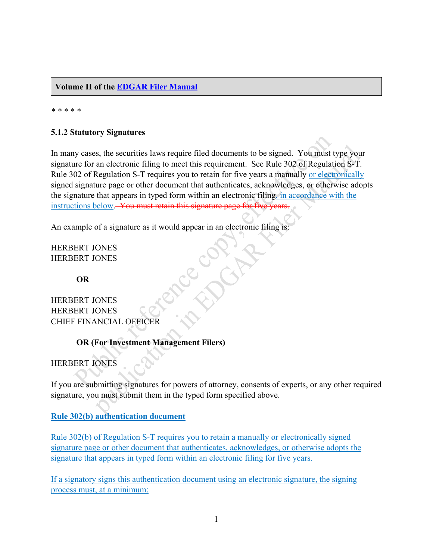**Volume II of the [EDGAR Filer Manual](https://www.sec.gov/info/edgar/specifications/edgarfm-vol2-v53.pdf)**

*\* \* \* \* \**

## **5.1.2 Statutory Signatures**

In many cases, the securities laws require filed documents to be signed. You must type your signature for an electronic filing to meet this requirement. See Rule 302 of Regulation S-T. Rule 302 of Regulation S-T requires you to retain for five years a manually or electronically signed signature page or other document that authenticates, acknowledges, or otherwise adopts the signature that appears in typed form within an electronic filing, in accordance with the instructions below. You must retain this signature page for five years.

HERBERT JONES HERBERT JONES

**OR**

An example of a signature as it would appear in an electronic filing is:<br>
HERBERT JONES<br> **OR**<br>
HERBERT JONES<br>
HERBERT JONES<br>
HERBERT JONES HERBERT JONES HERBERT JONES CHIEF FINANCIAL OFFICER

## **OR (For Investment Management Filers)**

HERBERT JONES

If you are submitting signatures for powers of attorney, consents of experts, or any other required signature, you must submit them in the typed form specified above.

**Rule 302(b) authentication document**

Rule 302(b) of Regulation S-T requires you to retain a manually or electronically signed signature page or other document that authenticates, acknowledges, or otherwise adopts the signature that appears in typed form within an electronic filing for five years.

If a signatory signs this authentication document using an electronic signature, the signing process must, at a minimum: